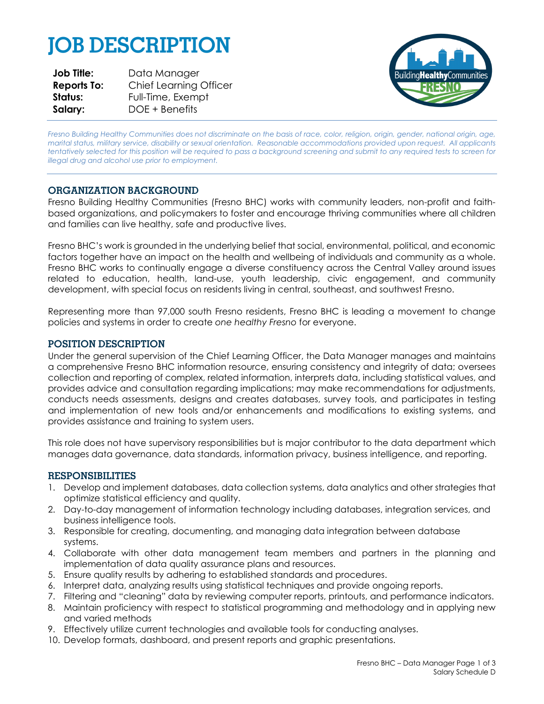# **JOB DESCRIPTION**

| <b>Job Title:</b>  | Data Manager                  |
|--------------------|-------------------------------|
| <b>Reports To:</b> | <b>Chief Learning Officer</b> |
| Status:            | Full-Time, Exempt             |
| Salary:            | DOE + Benefits                |



*Fresno Building Healthy Communities does not discriminate on the basis of race, color, religion, origin, gender, national origin, age, marital status, military service, disability or sexual orientation. Reasonable accommodations provided upon request. All applicants tentatively selected for this position will be required to pass a background screening and submit to any required tests to screen for illegal drug and alcohol use prior to employment.*

# **ORGANIZATION BACKGROUND**

Fresno Building Healthy Communities (Fresno BHC) works with community leaders, non-profit and faithbased organizations, and policymakers to foster and encourage thriving communities where all children and families can live healthy, safe and productive lives.

Fresno BHC's work is grounded in the underlying belief that social, environmental, political, and economic factors together have an impact on the health and wellbeing of individuals and community as a whole. Fresno BHC works to continually engage a diverse constituency across the Central Valley around issues related to education, health, land-use, youth leadership, civic engagement, and community development, with special focus on residents living in central, southeast, and southwest Fresno.

Representing more than 97,000 south Fresno residents, Fresno BHC is leading a movement to change policies and systems in order to create *one healthy Fresno* for everyone.

## **POSITION DESCRIPTION**

Under the general supervision of the Chief Learning Officer, the Data Manager manages and maintains a comprehensive Fresno BHC information resource, ensuring consistency and integrity of data; oversees collection and reporting of complex, related information, interprets data, including statistical values, and provides advice and consultation regarding implications; may make recommendations for adjustments, conducts needs assessments, designs and creates databases, survey tools, and participates in testing and implementation of new tools and/or enhancements and modifications to existing systems, and provides assistance and training to system users.

This role does not have supervisory responsibilities but is major contributor to the data department which manages data governance, data standards, information privacy, business intelligence, and reporting.

#### **RESPONSIBILITIES**

- 1. Develop and implement databases, data collection systems, data analytics and other strategies that optimize statistical efficiency and quality.
- 2. Day-to-day management of information technology including databases, integration services, and business intelligence tools.
- 3. Responsible for creating, documenting, and managing data integration between database systems.
- 4. Collaborate with other data management team members and partners in the planning and implementation of data quality assurance plans and resources.
- 5. Ensure quality results by adhering to established standards and procedures.
- 6. Interpret data, analyzing results using statistical techniques and provide ongoing reports.
- 7. Filtering and "cleaning" data by reviewing computer reports, printouts, and performance indicators.
- 8. Maintain proficiency with respect to statistical programming and methodology and in applying new and varied methods
- 9. Effectively utilize current technologies and available tools for conducting analyses.
- 10. Develop formats, dashboard, and present reports and graphic presentations.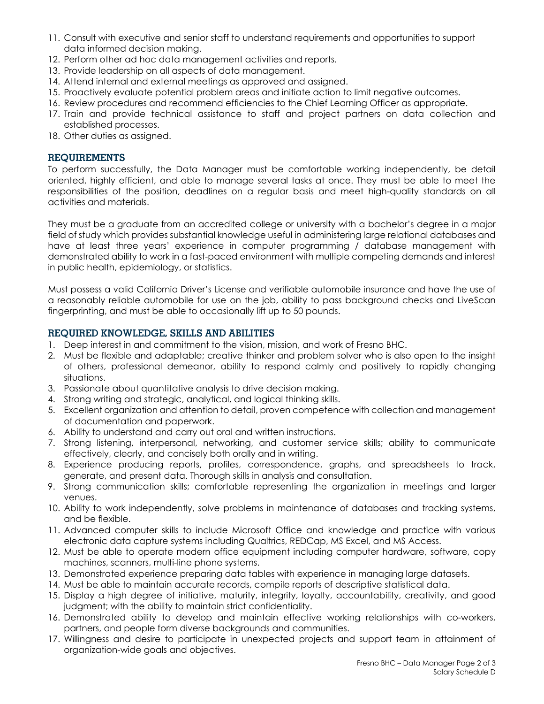- 11. Consult with executive and senior staff to understand requirements and opportunities to support data informed decision making.
- 12. Perform other ad hoc data management activities and reports.
- 13. Provide leadership on all aspects of data management.
- 14. Attend internal and external meetings as approved and assigned.
- 15. Proactively evaluate potential problem areas and initiate action to limit negative outcomes.
- 16. Review procedures and recommend efficiencies to the Chief Learning Officer as appropriate.
- 17. Train and provide technical assistance to staff and project partners on data collection and established processes.
- 18. Other duties as assigned.

#### **REQUIREMENTS**

To perform successfully, the Data Manager must be comfortable working independently, be detail oriented, highly efficient, and able to manage several tasks at once. They must be able to meet the responsibilities of the position, deadlines on a regular basis and meet high-quality standards on all activities and materials.

They must be a graduate from an accredited college or university with a bachelor's degree in a major field of study which provides substantial knowledge useful in administering large relational databases and have at least three years' experience in computer programming / database management with demonstrated ability to work in a fast-paced environment with multiple competing demands and interest in public health, epidemiology, or statistics.

Must possess a valid California Driver's License and verifiable automobile insurance and have the use of a reasonably reliable automobile for use on the job, ability to pass background checks and LiveScan fingerprinting, and must be able to occasionally lift up to 50 pounds.

## **REQUIRED KNOWLEDGE, SKILLS AND ABILITIES**

- 1. Deep interest in and commitment to the vision, mission, and work of Fresno BHC.
- 2. Must be flexible and adaptable; creative thinker and problem solver who is also open to the insight of others, professional demeanor, ability to respond calmly and positively to rapidly changing situations.
- 3. Passionate about quantitative analysis to drive decision making.
- 4. Strong writing and strategic, analytical, and logical thinking skills.
- 5. Excellent organization and attention to detail, proven competence with collection and management of documentation and paperwork.
- 6. Ability to understand and carry out oral and written instructions.
- 7. Strong listening, interpersonal, networking, and customer service skills; ability to communicate effectively, clearly, and concisely both orally and in writing.
- 8. Experience producing reports, profiles, correspondence, graphs, and spreadsheets to track, generate, and present data. Thorough skills in analysis and consultation.
- 9. Strong communication skills; comfortable representing the organization in meetings and larger venues.
- 10. Ability to work independently, solve problems in maintenance of databases and tracking systems, and be flexible.
- 11. Advanced computer skills to include Microsoft Office and knowledge and practice with various electronic data capture systems including Qualtrics, REDCap, MS Excel, and MS Access.
- 12. Must be able to operate modern office equipment including computer hardware, software, copy machines, scanners, multi-line phone systems.
- 13. Demonstrated experience preparing data tables with experience in managing large datasets.
- 14. Must be able to maintain accurate records, compile reports of descriptive statistical data.
- 15. Display a high degree of initiative, maturity, integrity, loyalty, accountability, creativity, and good judgment; with the ability to maintain strict confidentiality.
- 16. Demonstrated ability to develop and maintain effective working relationships with co-workers, partners, and people form diverse backgrounds and communities.
- 17. Willingness and desire to participate in unexpected projects and support team in attainment of organization-wide goals and objectives.